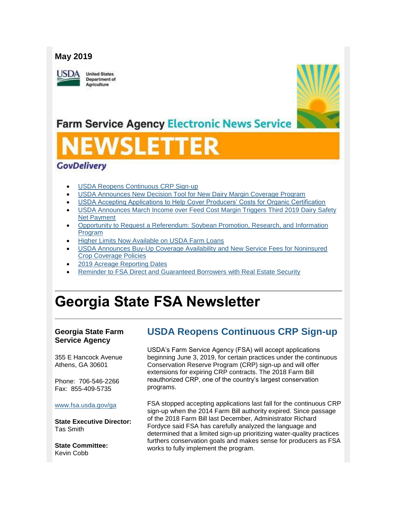### **May 2019**

**ISDA** 

**United States** Department of Agriculture



## **Farm Service Agency Electronic News Service**

# VSLET

## **GovDelivery**

- [USDA Reopens Continuous CRP Sign-up](#page-0-0)
- [USDA Announces New Decision Tool for New Dairy Margin Coverage Program](#page-1-0)
- [USDA Accepting Applications to Help Cover Producers' Costs for Organic Certification](#page-2-0)
- [USDA Announces March Income over Feed Cost Margin Triggers Third 2019 Dairy Safety](#page-3-0)  [Net Payment](#page-3-0)
- [Opportunity to Request a Referendum: Soybean Promotion, Research, and Information](#page-4-0)  [Program](#page-4-0)
- [Higher Limits Now Available on USDA Farm Loans](#page-4-1)
- [USDA Announces Buy-Up Coverage Availability and New Service Fees for Noninsured](#page-5-0)  [Crop Coverage Policies](#page-5-0)
- [2019 Acreage Reporting Dates](#page-6-0)
- [Reminder to FSA Direct and Guaranteed Borrowers with Real Estate Security](#page-7-0)

## **Georgia State FSA Newsletter**

#### **Georgia State Farm Service Agency**

355 E Hancock Avenue Athens, GA 30601

Phone: 706-546-2266 Fax: 855-409-5735

#### [www.fsa.usda.gov/ga](http://www.fsa.usda.gov/xx?utm_medium=email&utm_source=govdelivery)

**State Executive Director:** Tas Smith

**State Committee:** Kevin Cobb

## <span id="page-0-0"></span>**USDA Reopens Continuous CRP Sign-up**

USDA's Farm Service Agency (FSA) will accept applications beginning June 3, 2019, for certain practices under the continuous Conservation Reserve Program (CRP) sign-up and will offer extensions for expiring CRP contracts. The 2018 Farm Bill reauthorized CRP, one of the country's largest conservation programs.

FSA stopped accepting applications last fall for the continuous CRP sign-up when the 2014 Farm Bill authority expired. Since passage of the 2018 Farm Bill last December, Administrator Richard Fordyce said FSA has carefully analyzed the language and determined that a limited sign-up prioritizing water-quality practices furthers conservation goals and makes sense for producers as FSA works to fully implement the program.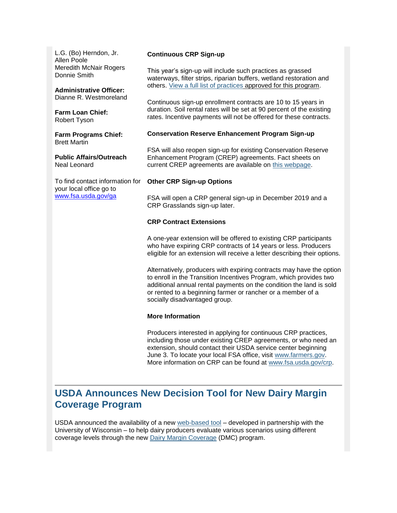L.G. (Bo) Herndon, Jr. Allen Poole Meredith McNair Rogers Donnie Smith

**Administrative Officer:** Dianne R. Westmoreland

**Farm Loan Chief:** Robert Tyson

**Farm Programs Chief:** Brett Martin

**Public Affairs/Outreach** Neal Leonard

To find contact information for your local office go to [www.fsa.usda.gov/ga](http://www.fsa.usda.gov/ga)

#### **Continuous CRP Sign-up**

This year's sign-up will include such practices as grassed waterways, filter strips, riparian buffers, wetland restoration and others. [View a full list of practices](https://www.fsa.usda.gov/programs-and-services/conservation-programs/conservation-reserve-program/crp-continuous-enrollment/index?utm_medium=email&utm_source=govdelivery) approved for this program.

Continuous sign-up enrollment contracts are 10 to 15 years in duration. Soil rental rates will be set at 90 percent of the existing rates. Incentive payments will not be offered for these contracts.

#### **Conservation Reserve Enhancement Program Sign-up**

FSA will also reopen sign-up for existing Conservation Reserve Enhancement Program (CREP) agreements. Fact sheets on current CREP agreements are available on [this webpage.](https://www.fsa.usda.gov/programs-and-services/conservation-programs/conservation-reserve-enhancement/index?utm_medium=email&utm_source=govdelivery)

#### **Other CRP Sign-up Options**

FSA will open a CRP general sign-up in December 2019 and a CRP Grasslands sign-up later.

#### **CRP Contract Extensions**

A one-year extension will be offered to existing CRP participants who have expiring CRP contracts of 14 years or less. Producers eligible for an extension will receive a letter describing their options.

Alternatively, producers with expiring contracts may have the option to enroll in the Transition Incentives Program, which provides two additional annual rental payments on the condition the land is sold or rented to a beginning farmer or rancher or a member of a socially disadvantaged group.

#### **More Information**

Producers interested in applying for continuous CRP practices, including those under existing CREP agreements, or who need an extension, should contact their USDA service center beginning June 3. To locate your local FSA office, visit [www.farmers.gov.](https://www.farmers.gov/?utm_medium=email&utm_source=govdelivery) More information on CRP can be found at [www.fsa.usda.gov/crp.](https://www.fsa.usda.gov/programs-and-services/conservation-programs/conservation-reserve-program/index?utm_medium=email&utm_source=govdelivery)

## <span id="page-1-0"></span>**USDA Announces New Decision Tool for New Dairy Margin Coverage Program**

USDA announced the availability of a new [web-based tool](https://www.fsa.usda.gov/programs-and-services/farm-bill/farm-safety-net/dairy-programs/dmc-decision-tool/index?utm_medium=email&utm_source=govdelivery) – developed in partnership with the University of Wisconsin – to help dairy producers evaluate various scenarios using different coverage levels through the new [Dairy Margin Coverage](https://www.fsa.usda.gov/programs-and-services/farm-bill/farm-safety-net/dairy-programs/index?utm_medium=email&utm_source=govdelivery) (DMC) program.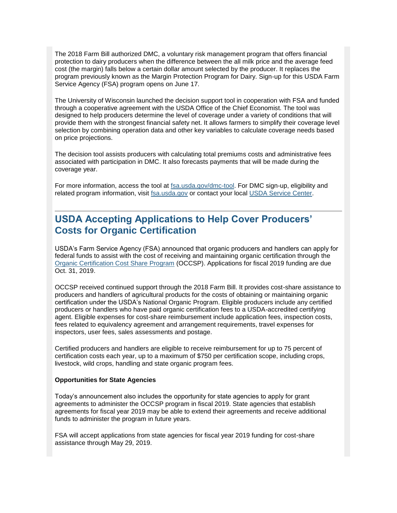The 2018 Farm Bill authorized DMC, a voluntary risk management program that offers financial protection to dairy producers when the difference between the all milk price and the average feed cost (the margin) falls below a certain dollar amount selected by the producer. It replaces the program previously known as the Margin Protection Program for Dairy. Sign-up for this USDA Farm Service Agency (FSA) program opens on June 17.

The University of Wisconsin launched the decision support tool in cooperation with FSA and funded through a cooperative agreement with the USDA Office of the Chief Economist. The tool was designed to help producers determine the level of coverage under a variety of conditions that will provide them with the strongest financial safety net. It allows farmers to simplify their coverage level selection by combining operation data and other key variables to calculate coverage needs based on price projections.

The decision tool assists producers with calculating total premiums costs and administrative fees associated with participation in DMC. It also forecasts payments that will be made during the coverage year.

For more information, access the tool at [fsa.usda.gov/dmc-tool.](https://www.fsa.usda.gov/programs-and-services/farm-bill/farm-safety-net/dairy-programs/dmc-decision-tool/index?utm_medium=email&utm_source=govdelivery) For DMC sign-up, eligibility and related program information, visit [fsa.usda.gov](http://www.fsa.usda.gov/?utm_medium=email&utm_source=govdelivery) or contact your local [USDA Service Center.](http://farmers.gov/service-locator?utm_medium=email&utm_source=govdelivery)

## <span id="page-2-0"></span>**USDA Accepting Applications to Help Cover Producers' Costs for Organic Certification**

USDA's Farm Service Agency (FSA) announced that organic producers and handlers can apply for federal funds to assist with the cost of receiving and maintaining organic certification through the [Organic Certification Cost Share Program](https://www.fsa.usda.gov/programs-and-services/occsp/index?utm_medium=email&utm_source=govdelivery) (OCCSP). Applications for fiscal 2019 funding are due Oct. 31, 2019.

OCCSP received continued support through the 2018 Farm Bill. It provides cost-share assistance to producers and handlers of agricultural products for the costs of obtaining or maintaining organic certification under the USDA's National Organic Program. Eligible producers include any certified producers or handlers who have paid organic certification fees to a USDA-accredited certifying agent. Eligible expenses for cost-share reimbursement include application fees, inspection costs, fees related to equivalency agreement and arrangement requirements, travel expenses for inspectors, user fees, sales assessments and postage.

Certified producers and handlers are eligible to receive reimbursement for up to 75 percent of certification costs each year, up to a maximum of \$750 per certification scope, including crops, livestock, wild crops, handling and state organic program fees.

#### **Opportunities for State Agencies**

Today's announcement also includes the opportunity for state agencies to apply for grant agreements to administer the OCCSP program in fiscal 2019. State agencies that establish agreements for fiscal year 2019 may be able to extend their agreements and receive additional funds to administer the program in future years.

FSA will accept applications from state agencies for fiscal year 2019 funding for cost-share assistance through May 29, 2019.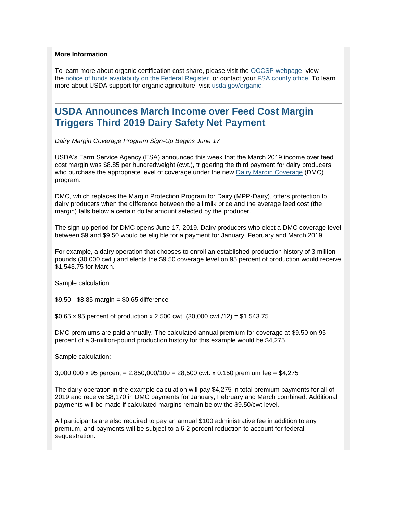#### **More Information**

To learn more about organic certification cost share, please visit the [OCCSP webpage,](https://www.fsa.usda.gov/programs-and-services/occsp/index?utm_medium=email&utm_source=govdelivery) view the [notice of funds availability on the Federal Register,](https://www.fsa.usda.gov/Assets/USDA-FSA-Public/usdafiles/organic-certification-cost-share-program/pdf/occsp_nofa_2019-08624.pdf?utm_medium=email&utm_source=govdelivery) or contact your [FSA county office.](https://offices.sc.egov.usda.gov/locator/app?utm_medium=email&utm_source=govdelivery) To learn more about USDA support for organic agriculture, visit [usda.gov/organic.](https://www.usda.gov/topics/organic?utm_medium=email&utm_source=govdelivery)

## <span id="page-3-0"></span>**USDA Announces March Income over Feed Cost Margin Triggers Third 2019 Dairy Safety Net Payment**

*Dairy Margin Coverage Program Sign-Up Begins June 17*

USDA's Farm Service Agency (FSA) announced this week that the March 2019 income over feed cost margin was \$8.85 per hundredweight (cwt.), triggering the third payment for dairy producers who purchase the appropriate level of coverage under the new [Dairy Margin Coverage](https://www.fsa.usda.gov/programs-and-services/farm-bill/farm-safety-net/dairy-programs/index?utm_medium=email&utm_source=govdelivery) (DMC) program.

DMC, which replaces the Margin Protection Program for Dairy (MPP-Dairy), offers protection to dairy producers when the difference between the all milk price and the average feed cost (the margin) falls below a certain dollar amount selected by the producer.

The sign-up period for DMC opens June 17, 2019. Dairy producers who elect a DMC coverage level between \$9 and \$9.50 would be eligible for a payment for January, February and March 2019.

For example, a dairy operation that chooses to enroll an established production history of 3 million pounds (30,000 cwt.) and elects the \$9.50 coverage level on 95 percent of production would receive \$1,543.75 for March.

Sample calculation:

\$9.50 - \$8.85 margin = \$0.65 difference

\$0.65 x 95 percent of production x 2,500 cwt.  $(30,000 \text{ cwt.}/12) = $1,543.75$ 

DMC premiums are paid annually. The calculated annual premium for coverage at \$9.50 on 95 percent of a 3-million-pound production history for this example would be \$4,275.

Sample calculation:

 $3,000,000 \times 95$  percent = 2,850,000/100 = 28,500 cwt. x 0.150 premium fee = \$4,275

The dairy operation in the example calculation will pay \$4,275 in total premium payments for all of 2019 and receive \$8,170 in DMC payments for January, February and March combined. Additional payments will be made if calculated margins remain below the \$9.50/cwt level.

All participants are also required to pay an annual \$100 administrative fee in addition to any premium, and payments will be subject to a 6.2 percent reduction to account for federal sequestration.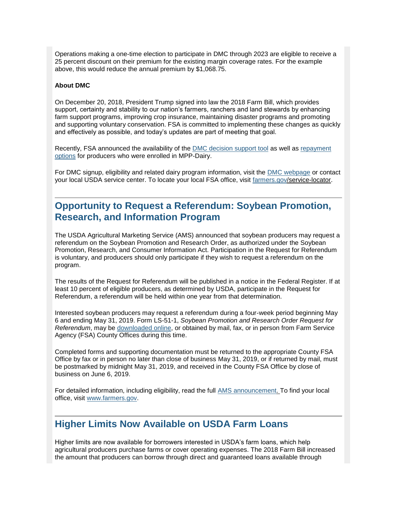Operations making a one-time election to participate in DMC through 2023 are eligible to receive a 25 percent discount on their premium for the existing margin coverage rates. For the example above, this would reduce the annual premium by \$1,068.75.

#### **About DMC**

On December 20, 2018, President Trump signed into law the 2018 Farm Bill, which provides support, certainty and stability to our nation's farmers, ranchers and land stewards by enhancing farm support programs, improving crop insurance, maintaining disaster programs and promoting and supporting voluntary conservation. FSA is committed to implementing these changes as quickly and effectively as possible, and today's updates are part of meeting that goal.

Recently, FSA announced the availability of the [DMC decision support tool](https://www.fsa.usda.gov/programs-and-services/farm-bill/farm-safety-net/dairy-programs/dmc-decision-tool/index?utm_medium=email&utm_source=govdelivery) as well as [repayment](https://www.fsa.usda.gov/news-room/news-releases/2019/usda-announces-repayment-options-for-producers-with-coverage-in-previous-margin-protection-program-for-dairy?utm_medium=email&utm_source=govdelivery)  [options](https://www.fsa.usda.gov/news-room/news-releases/2019/usda-announces-repayment-options-for-producers-with-coverage-in-previous-margin-protection-program-for-dairy?utm_medium=email&utm_source=govdelivery) for producers who were enrolled in MPP-Dairy.

For DMC signup, eligibility and related dairy program information, visit the [DMC webpage](https://www.fsa.usda.gov/programs-and-services/farm-bill/farm-safety-net/dairy-programs/index?utm_medium=email&utm_source=govdelivery) or contact your local USDA service center. To locate your local FSA office, visit [farmers.gov/](http://farmers.gov/?utm_medium=email&utm_source=govdelivery)service-locator.

## <span id="page-4-0"></span>**Opportunity to Request a Referendum: Soybean Promotion, Research, and Information Program**

The USDA Agricultural Marketing Service (AMS) announced that soybean producers may request a referendum on the Soybean Promotion and Research Order, as authorized under the Soybean Promotion, Research, and Consumer Information Act. Participation in the Request for Referendum is voluntary, and producers should only participate if they wish to request a referendum on the program.

The results of the Request for Referendum will be published in a notice in the Federal Register. If at least 10 percent of eligible producers, as determined by USDA, participate in the Request for Referendum, a referendum will be held within one year from that determination.

Interested soybean producers may request a referendum during a four-week period beginning May 6 and ending May 31, 2019. Form LS-51-1, *Soybean Promotion and Research Order Request for Referendum*, may be [downloaded online,](https://www.ams.usda.gov/rules-regulations/research-promotion/soybean?utm_medium=email&utm_source=govdelivery) or obtained by mail, fax, or in person from Farm Service Agency (FSA) County Offices during this time.

Completed forms and supporting documentation must be returned to the appropriate County FSA Office by fax or in person no later than close of business May 31, 2019, or if returned by mail, must be postmarked by midnight May 31, 2019, and received in the County FSA Office by close of business on June 6, 2019.

For detailed information, including eligibility, read the full [AMS announcement.](https://www.ams.usda.gov/rules-regulations/opportunity-request-referendum-soybean-promotion-research-and-information-program?utm_medium=email&utm_source=govdelivery) To find your local office, visit [www.farmers.gov.](http://www.farmers.gov/?utm_medium=email&utm_source=govdelivery)

## <span id="page-4-1"></span>**Higher Limits Now Available on USDA Farm Loans**

Higher limits are now available for borrowers interested in USDA's farm loans, which help agricultural producers purchase farms or cover operating expenses. The 2018 Farm Bill increased the amount that producers can borrow through direct and guaranteed loans available through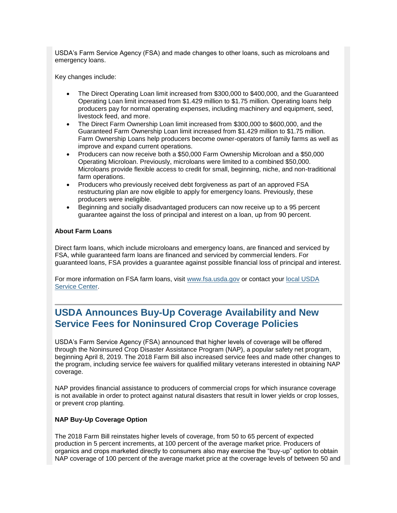USDA's Farm Service Agency (FSA) and made changes to other loans, such as microloans and emergency loans.

Key changes include:

- The Direct Operating Loan limit increased from \$300,000 to \$400,000, and the Guaranteed Operating Loan limit increased from \$1.429 million to \$1.75 million. Operating loans help producers pay for normal operating expenses, including machinery and equipment, seed, livestock feed, and more.
- The Direct Farm Ownership Loan limit increased from \$300,000 to \$600,000, and the Guaranteed Farm Ownership Loan limit increased from \$1.429 million to \$1.75 million. Farm Ownership Loans help producers become owner-operators of family farms as well as improve and expand current operations.
- Producers can now receive both a \$50,000 Farm Ownership Microloan and a \$50,000 Operating Microloan. Previously, microloans were limited to a combined \$50,000. Microloans provide flexible access to credit for small, beginning, niche, and non-traditional farm operations.
- Producers who previously received debt forgiveness as part of an approved FSA restructuring plan are now eligible to apply for emergency loans. Previously, these producers were ineligible.
- Beginning and socially disadvantaged producers can now receive up to a 95 percent guarantee against the loss of principal and interest on a loan, up from 90 percent.

#### **About Farm Loans**

Direct farm loans, which include microloans and emergency loans, are financed and serviced by FSA, while guaranteed farm loans are financed and serviced by commercial lenders. For guaranteed loans, FSA provides a guarantee against possible financial loss of principal and interest.

For more information on FSA farm loans, visit [www.fsa.usda.gov](http://www.fsa.usda.gov/?utm_medium=email&utm_source=govdelivery) or contact your [local USDA](https://www.farmers.gov/service-locator?utm_medium=email&utm_source=govdelivery)  [Service Center.](https://www.farmers.gov/service-locator?utm_medium=email&utm_source=govdelivery)

## <span id="page-5-0"></span>**USDA Announces Buy-Up Coverage Availability and New Service Fees for Noninsured Crop Coverage Policies**

USDA's Farm Service Agency (FSA) announced that higher levels of coverage will be offered through the Noninsured Crop Disaster Assistance Program (NAP), a popular safety net program, beginning April 8, 2019. The 2018 Farm Bill also increased service fees and made other changes to the program, including service fee waivers for qualified military veterans interested in obtaining NAP coverage.

NAP provides financial assistance to producers of commercial crops for which insurance coverage is not available in order to protect against natural disasters that result in lower yields or crop losses, or prevent crop planting.

#### **NAP Buy-Up Coverage Option**

The 2018 Farm Bill reinstates higher levels of coverage, from 50 to 65 percent of expected production in 5 percent increments, at 100 percent of the average market price. Producers of organics and crops marketed directly to consumers also may exercise the "buy-up" option to obtain NAP coverage of 100 percent of the average market price at the coverage levels of between 50 and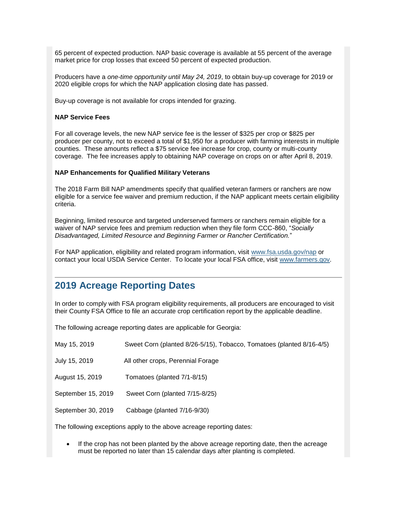65 percent of expected production. NAP basic coverage is available at 55 percent of the average market price for crop losses that exceed 50 percent of expected production.

Producers have a *one-time opportunity until May 24, 2019*, to obtain buy-up coverage for 2019 or 2020 eligible crops for which the NAP application closing date has passed.

Buy-up coverage is not available for crops intended for grazing.

#### **NAP Service Fees**

For all coverage levels, the new NAP service fee is the lesser of \$325 per crop or \$825 per producer per county, not to exceed a total of \$1,950 for a producer with farming interests in multiple counties. These amounts reflect a \$75 service fee increase for crop, county or multi-county coverage. The fee increases apply to obtaining NAP coverage on crops on or after April 8, 2019.

#### **NAP Enhancements for Qualified Military Veterans**

The 2018 Farm Bill NAP amendments specify that qualified veteran farmers or ranchers are now eligible for a service fee waiver and premium reduction, if the NAP applicant meets certain eligibility criteria.

Beginning, limited resource and targeted underserved farmers or ranchers remain eligible for a waiver of NAP service fees and premium reduction when they file form CCC-860, "*Socially Disadvantaged, Limited Resource and Beginning Farmer or Rancher Certification.*"

For NAP application, eligibility and related program information, visit [www.fsa.usda.gov/nap](http://www.fsa.usda.gov/nap?utm_medium=email&utm_source=govdelivery) or contact your local USDA Service Center. To locate your local FSA office, visit [www.farmers.gov.](http://www.farmers.gov/?utm_medium=email&utm_source=govdelivery)

## <span id="page-6-0"></span>**2019 Acreage Reporting Dates**

In order to comply with FSA program eligibility requirements, all producers are encouraged to visit their County FSA Office to file an accurate crop certification report by the applicable deadline.

The following acreage reporting dates are applicable for Georgia:

| May 15, 2019       | Sweet Corn (planted 8/26-5/15), Tobacco, Tomatoes (planted 8/16-4/5) |
|--------------------|----------------------------------------------------------------------|
| July 15, 2019      | All other crops, Perennial Forage                                    |
| August 15, 2019    | Tomatoes (planted 7/1-8/15)                                          |
| September 15, 2019 | Sweet Corn (planted 7/15-8/25)                                       |
| September 30, 2019 | Cabbage (planted 7/16-9/30)                                          |
|                    |                                                                      |

The following exceptions apply to the above acreage reporting dates:

If the crop has not been planted by the above acreage reporting date, then the acreage must be reported no later than 15 calendar days after planting is completed.